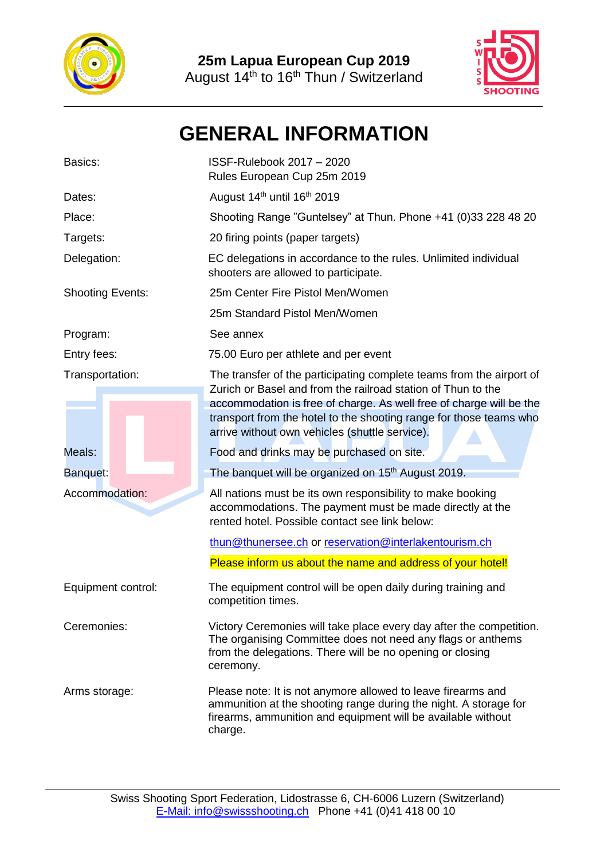



## **GENERAL INFORMATION**

| Basics:                 | ISSF-Rulebook 2017 - 2020<br>Rules European Cup 25m 2019                                                                                                                                                                                                                                                                            |  |
|-------------------------|-------------------------------------------------------------------------------------------------------------------------------------------------------------------------------------------------------------------------------------------------------------------------------------------------------------------------------------|--|
| Dates:                  | August 14 <sup>th</sup> until 16 <sup>th</sup> 2019                                                                                                                                                                                                                                                                                 |  |
| Place:                  | Shooting Range "Guntelsey" at Thun. Phone +41 (0)33 228 48 20                                                                                                                                                                                                                                                                       |  |
| Targets:                | 20 firing points (paper targets)                                                                                                                                                                                                                                                                                                    |  |
| Delegation:             | EC delegations in accordance to the rules. Unlimited individual<br>shooters are allowed to participate.                                                                                                                                                                                                                             |  |
| <b>Shooting Events:</b> | 25m Center Fire Pistol Men/Women                                                                                                                                                                                                                                                                                                    |  |
|                         | 25m Standard Pistol Men/Women                                                                                                                                                                                                                                                                                                       |  |
| Program:                | See annex                                                                                                                                                                                                                                                                                                                           |  |
| Entry fees:             | 75.00 Euro per athlete and per event                                                                                                                                                                                                                                                                                                |  |
| Transportation:         | The transfer of the participating complete teams from the airport of<br>Zurich or Basel and from the railroad station of Thun to the<br>accommodation is free of charge. As well free of charge will be the<br>transport from the hotel to the shooting range for those teams who<br>arrive without own vehicles (shuttle service). |  |
| Meals:                  | Food and drinks may be purchased on site.                                                                                                                                                                                                                                                                                           |  |
| Banquet:                | The banquet will be organized on 15 <sup>th</sup> August 2019.                                                                                                                                                                                                                                                                      |  |
| Accommodation:          | All nations must be its own responsibility to make booking<br>accommodations. The payment must be made directly at the<br>rented hotel. Possible contact see link below:                                                                                                                                                            |  |
|                         | thun@thunersee.ch or reservation@interlakentourism.ch                                                                                                                                                                                                                                                                               |  |
|                         | Please inform us about the name and address of your hotel!                                                                                                                                                                                                                                                                          |  |
| Equipment control:      | The equipment control will be open daily during training and<br>competition times.                                                                                                                                                                                                                                                  |  |
| Ceremonies:             | Victory Ceremonies will take place every day after the competition.<br>The organising Committee does not need any flags or anthems<br>from the delegations. There will be no opening or closing<br>ceremony.                                                                                                                        |  |
| Arms storage:           | Please note: It is not anymore allowed to leave firearms and<br>ammunition at the shooting range during the night. A storage for<br>firearms, ammunition and equipment will be available without<br>charge.                                                                                                                         |  |